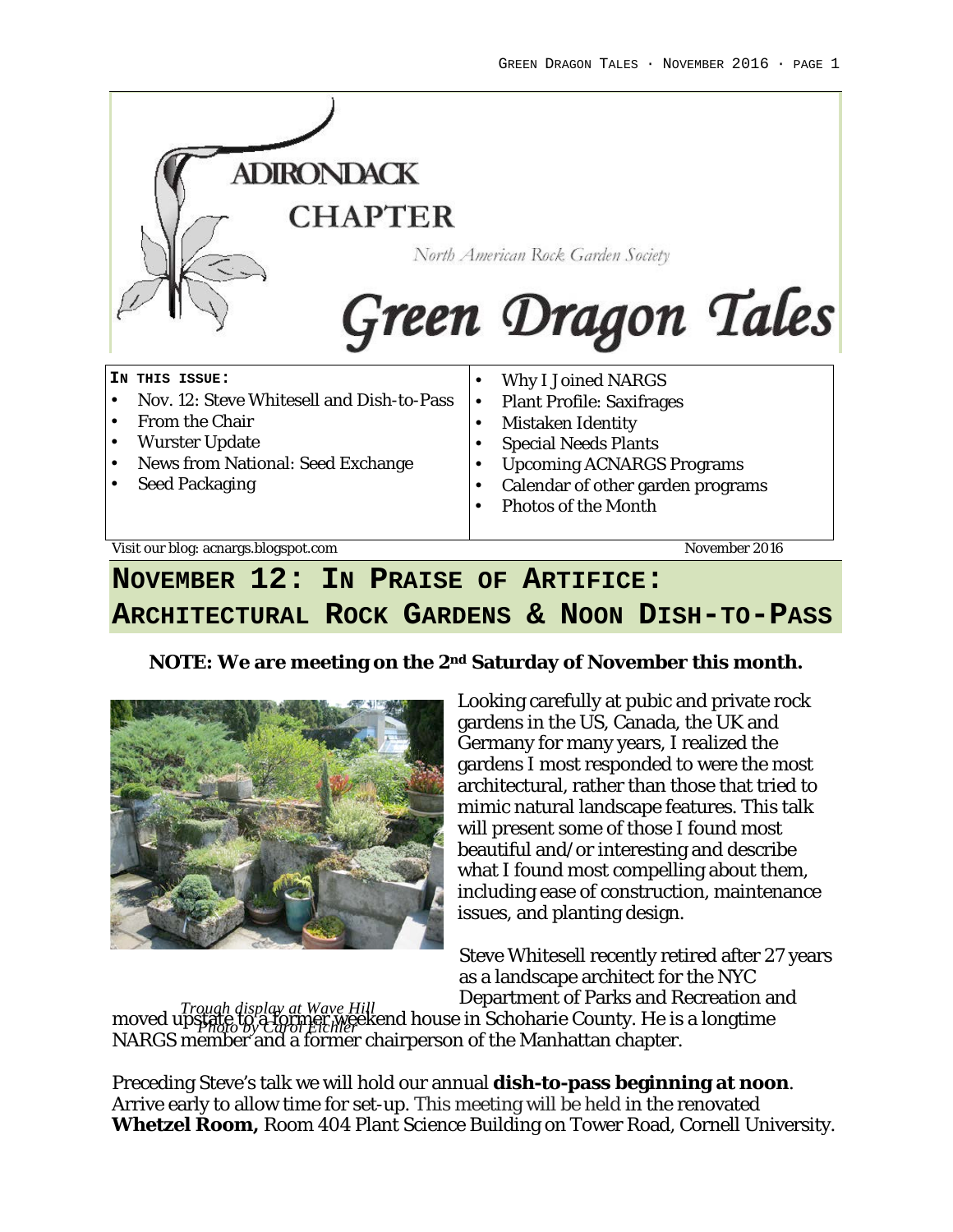

## **NOVEMBER 12: IN PRAISE OF ARTIFICE: ARCHITECTURAL ROCK GARDENS & NOON DISH-TO-PASS**

**NOTE: We are meeting on the 2nd Saturday of November this month.**



Looking carefully at pubic and private rock gardens in the US, Canada, the UK and Germany for many years, I realized the gardens I most responded to were the most architectural, rather than those that tried to mimic natural landscape features. This talk will present some of those I found most beautiful and/or interesting and describe what I found most compelling about them, including ease of construction, maintenance issues, and planting design.

Steve Whitesell recently retired after 27 years as a landscape architect for the NYC Department of Parks and Recreation and

moved upstate to a former weekend house in Schoharie County. He is a longtime NARGS member and a former chairperson of the Manhattan chapter. *Trough display at Wave Hill Photo by Carol Eichler*

Preceding Steve's talk we will hold our annual **dish-to-pass beginning at noon**. Arrive early to allow time for set-up. This meeting will be held in the renovated **Whetzel Room,** Room 404 Plant Science Building on Tower Road, Cornell University.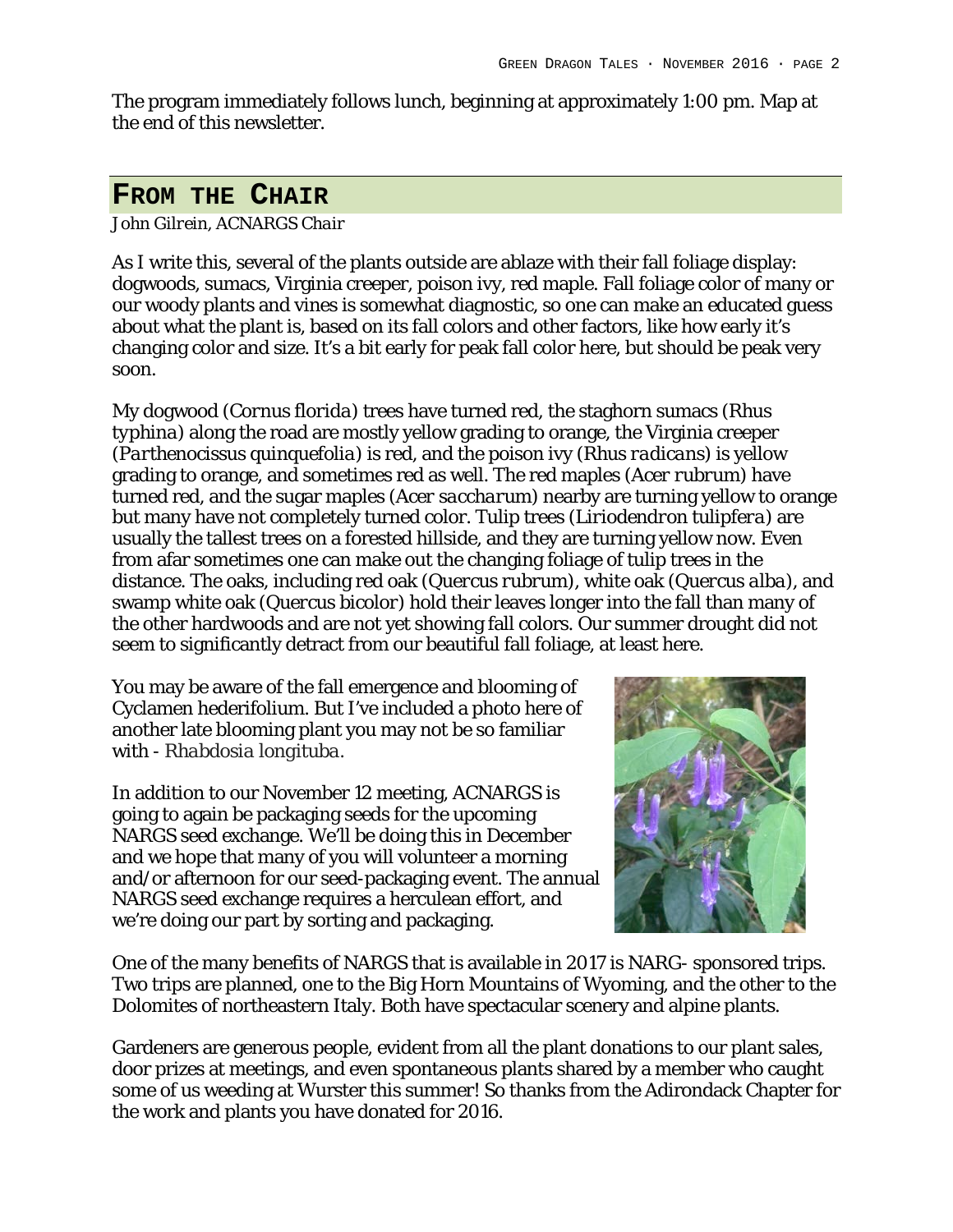The program immediately follows lunch, beginning at approximately 1:00 pm. Map at the end of this newsletter.

#### **FROM THE CHAIR**

*John Gilrein, ACNARGS Chair*

As I write this, several of the plants outside are ablaze with their fall foliage display: dogwoods, sumacs, Virginia creeper, poison ivy, red maple. Fall foliage color of many or our woody plants and vines is somewhat diagnostic, so one can make an educated guess about what the plant is, based on its fall colors and other factors, like how early it's changing color and size. It's a bit early for peak fall color here, but should be peak very soon.

My dogwood (*Cornus florida*) trees have turned red, the staghorn sumacs (*Rhus typhina*) along the road are mostly yellow grading to orange, the Virginia creeper (*Parthenocissus quinquefolia*) is red, and the poison ivy (*Rhus radicans*) is yellow grading to orange, and sometimes red as well. The red maples (*Acer rubrum*) have turned red, and the sugar maples (*Acer saccharum*) nearby are turning yellow to orange but many have not completely turned color. Tulip trees (*Liriodendron tulipfera*) are usually the tallest trees on a forested hillside, and they are turning yellow now. Even from afar sometimes one can make out the changing foliage of tulip trees in the distance. The oaks, including red oak (*Quercus rubrum*), white oak (*Quercus alba*), and swamp white oak (*Quercus bicolor*) hold their leaves longer into the fall than many of the other hardwoods and are not yet showing fall colors. Our summer drought did not seem to significantly detract from our beautiful fall foliage, at least here.

You may be aware of the fall emergence and blooming of Cyclamen hederifolium. But I've included a photo here of another late blooming plant you may not be so familiar with - *Rhabdosia longituba.*

In addition to our November 12 meeting, ACNARGS is going to again be packaging seeds for the upcoming NARGS seed exchange. We'll be doing this in December and we hope that many of you will volunteer a morning and/or afternoon for our seed-packaging event. The annual NARGS seed exchange requires a herculean effort, and we're doing our part by sorting and packaging.



One of the many benefits of NARGS that is available in 2017 is NARG- sponsored trips. Two trips are planned, one to the Big Horn Mountains of Wyoming, and the other to the Dolomites of northeastern Italy. Both have spectacular scenery and alpine plants.

Gardeners are generous people, evident from all the plant donations to our plant sales, door prizes at meetings, and even spontaneous plants shared by a member who caught some of us weeding at Wurster this summer! So thanks from the Adirondack Chapter for the work and plants you have donated for 2016.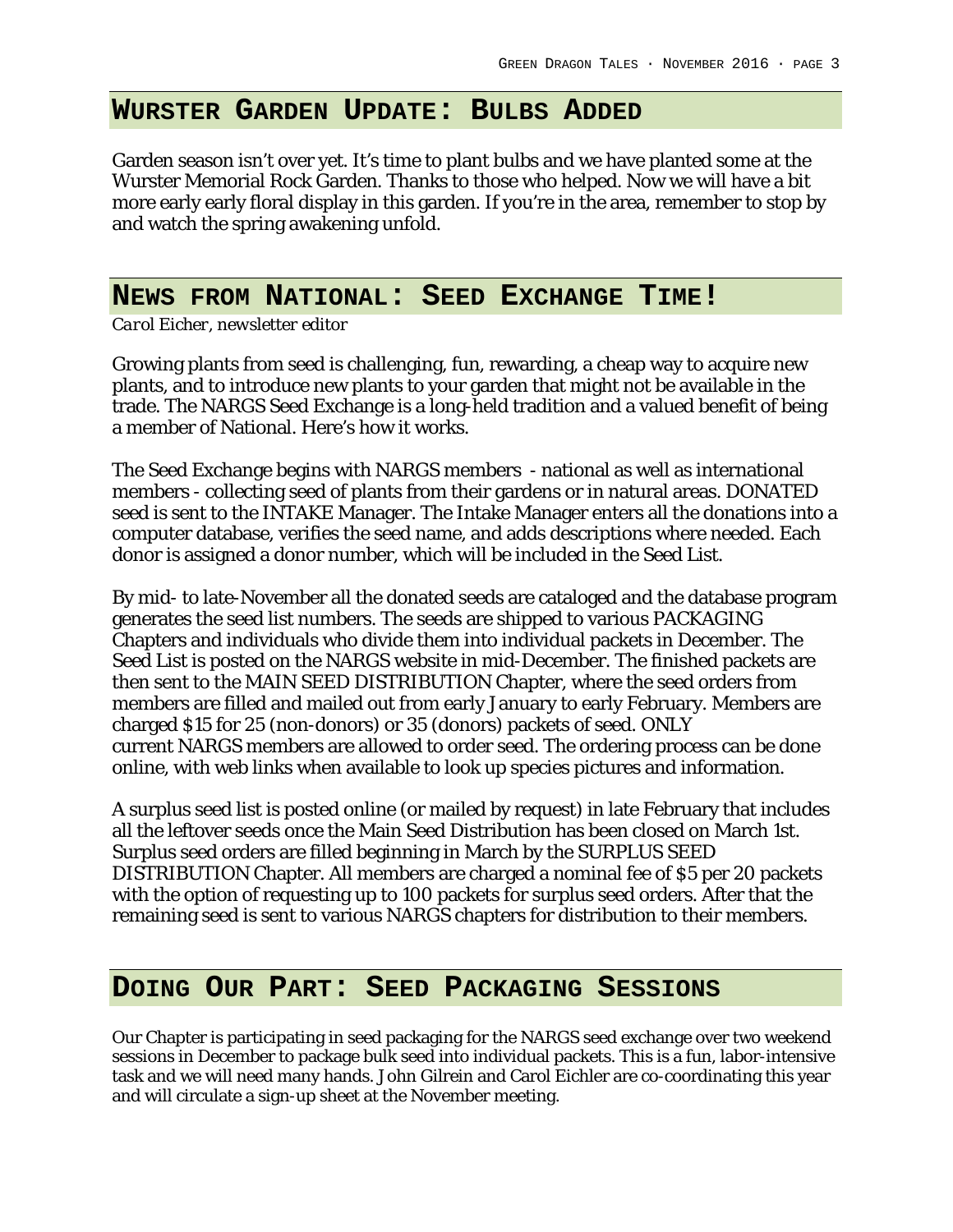#### **WURSTER GARDEN UPDATE: BULBS ADDED**

Garden season isn't over yet. It's time to plant bulbs and we have planted some at the Wurster Memorial Rock Garden. Thanks to those who helped. Now we will have a bit more early early floral display in this garden. If you're in the area, remember to stop by and watch the spring awakening unfold.

#### **NEWS FROM NATIONAL: SEED EXCHANGE TIME!**

*Carol Eicher, newsletter editor*

Growing plants from seed is challenging, fun, rewarding, a cheap way to acquire new plants, and to introduce new plants to your garden that might not be available in the trade. The NARGS Seed Exchange is a long-held tradition and a valued benefit of being a member of National. Here's how it works.

The Seed Exchange begins with NARGS members - national as well as international members - collecting seed of plants from their gardens or in natural areas. DONATED seed is sent to the INTAKE Manager. The Intake Manager enters all the donations into a computer database, verifies the seed name, and adds descriptions where needed. Each donor is assigned a donor number, which will be included in the Seed List.

By mid- to late-November all the donated seeds are cataloged and the database program generates the seed list numbers. The seeds are shipped to various PACKAGING Chapters and individuals who divide them into individual packets in December. The Seed List is posted on the NARGS website in mid-December. The finished packets are then sent to the MAIN SEED DISTRIBUTION Chapter, where the seed orders from members are filled and mailed out from early January to early February. Members are charged \$15 for 25 (non-donors) or 35 (donors) packets of seed. ONLY current NARGS members are allowed to order seed. The ordering process can be done online, with web links when available to look up species pictures and information.

A surplus seed list is posted online (or mailed by request) in late February that includes all the leftover seeds once the Main Seed Distribution has been closed on March 1st. Surplus seed orders are filled beginning in March by the SURPLUS SEED DISTRIBUTION Chapter. All members are charged a nominal fee of \$5 per 20 packets with the option of requesting up to 100 packets for surplus seed orders. After that the remaining seed is sent to various NARGS chapters for distribution to their members.

#### **DOING OUR PART: SEED PACKAGING SESSIONS**

Our Chapter is participating in seed packaging for the NARGS seed exchange over two weekend sessions in December to package bulk seed into individual packets. This is a fun, labor-intensive task and we will need many hands. John Gilrein and Carol Eichler are co-coordinating this year and will circulate a sign-up sheet at the November meeting.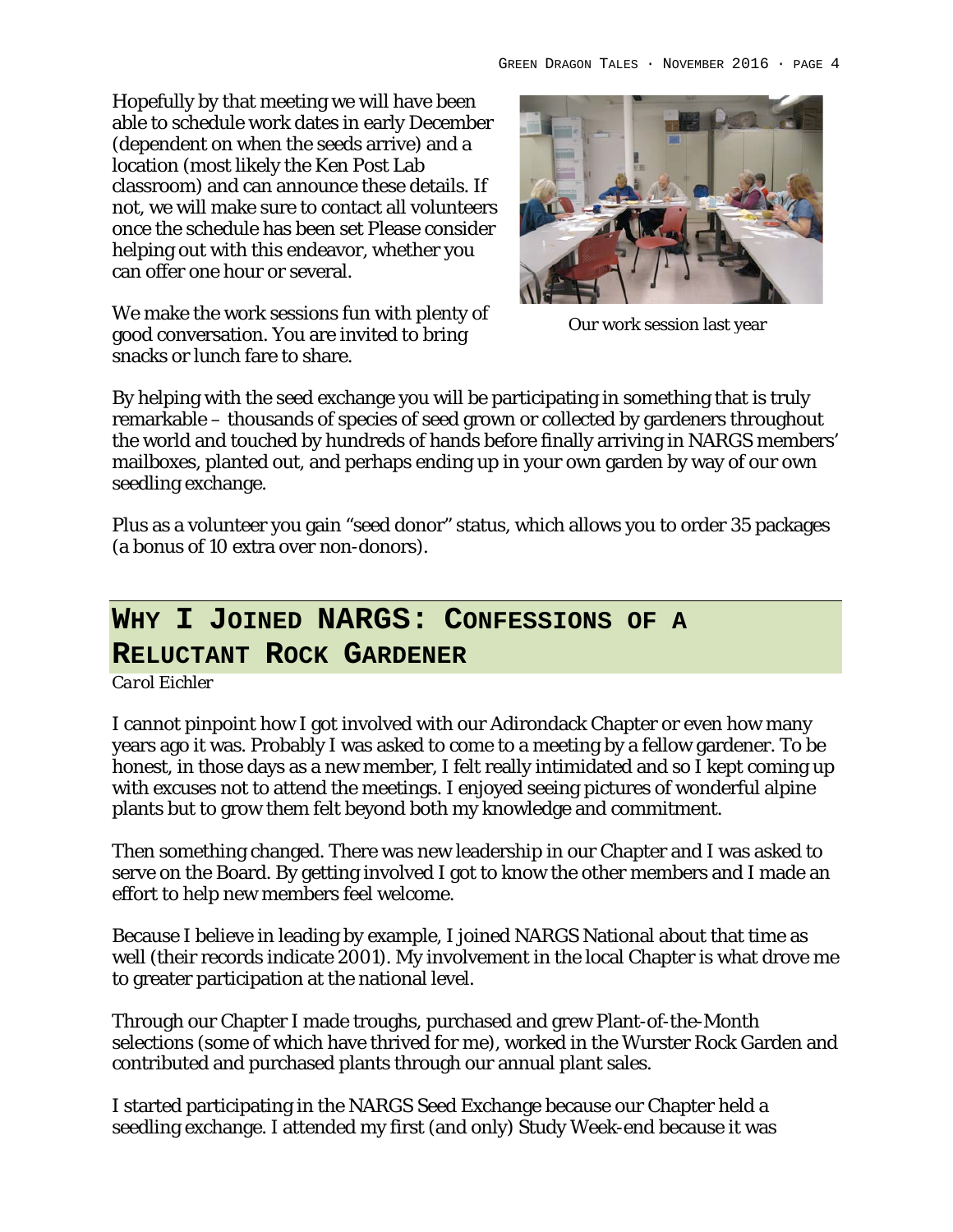Hopefully by that meeting we will have been able to schedule work dates in early December (dependent on when the seeds arrive) and a location (most likely the Ken Post Lab classroom) and can announce these details. If not, we will make sure to contact all volunteers once the schedule has been set Please consider helping out with this endeavor, whether you can offer one hour or several.

We make the work sessions fun with plenty of good conversation. You are invited to bring snacks or lunch fare to share.



Our work session last year

By helping with the seed exchange you will be participating in something that is truly remarkable – thousands of species of seed grown or collected by gardeners throughout the world and touched by hundreds of hands before finally arriving in NARGS members' mailboxes, planted out, and perhaps ending up in your own garden by way of our own seedling exchange.

Plus as a volunteer you gain "seed donor" status, which allows you to order 35 packages (a bonus of 10 extra over non-donors).

# **WHY I JOINED NARGS: CONFESSIONS OF A**

#### **RELUCTANT ROCK GARDENER**

*Carol Eichler*

I cannot pinpoint how I got involved with our Adirondack Chapter or even how many years ago it was. Probably I was asked to come to a meeting by a fellow gardener. To be honest, in those days as a new member, I felt really intimidated and so I kept coming up with excuses not to attend the meetings. I enjoyed seeing pictures of wonderful alpine plants but to grow them felt beyond both my knowledge and commitment.

Then something changed. There was new leadership in our Chapter and I was asked to serve on the Board. By getting involved I got to know the other members and I made an effort to help new members feel welcome.

Because I believe in leading by example, I joined NARGS National about that time as well (their records indicate 2001). My involvement in the local Chapter is what drove me to greater participation at the national level.

Through our Chapter I made troughs, purchased and grew Plant-of-the-Month selections (some of which have thrived for me), worked in the Wurster Rock Garden and contributed and purchased plants through our annual plant sales.

I started participating in the NARGS Seed Exchange because our Chapter held a seedling exchange. I attended my first (and only) Study Week-end because it was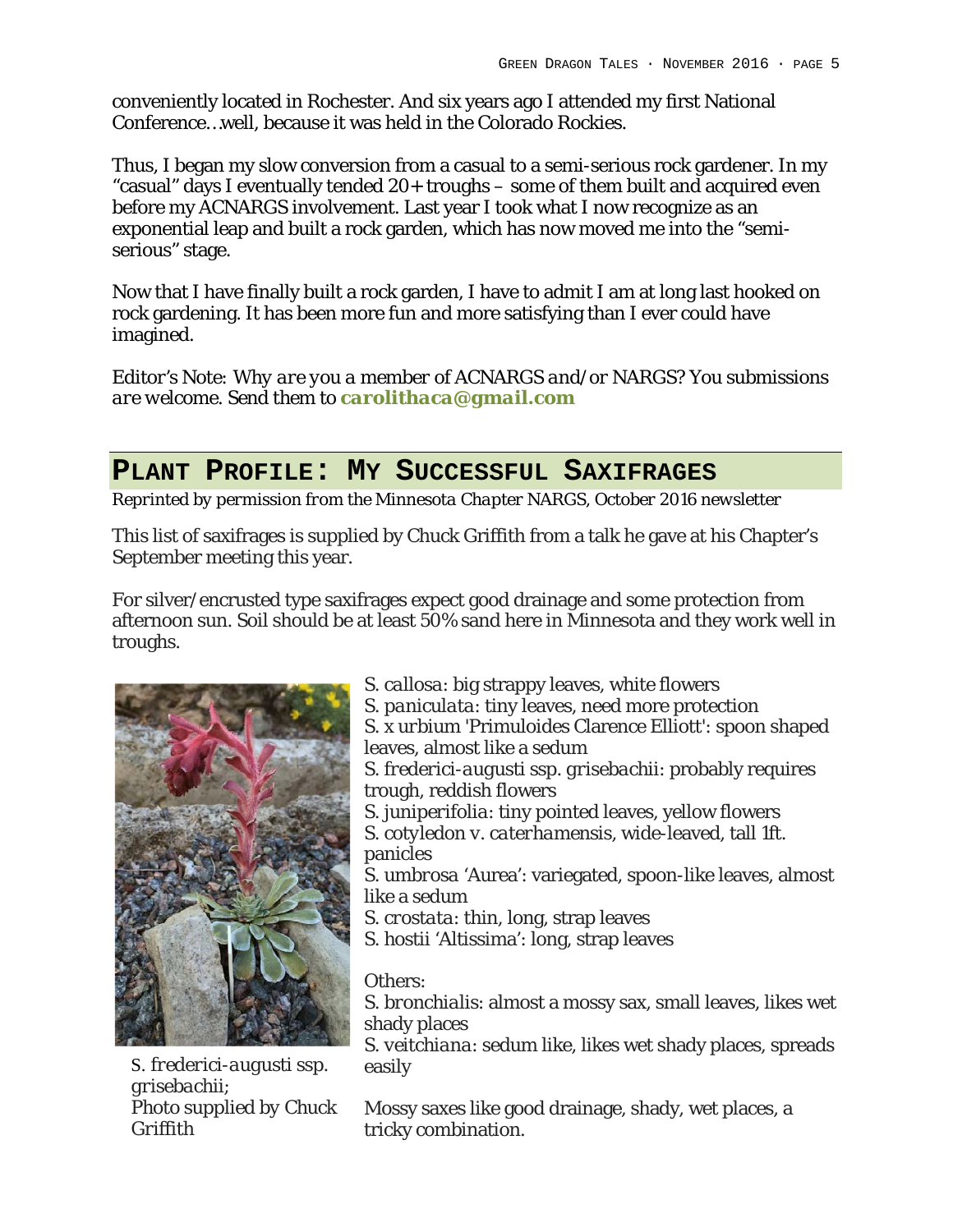conveniently located in Rochester. And six years ago I attended my first National Conference…well, because it was held in the Colorado Rockies.

Thus, I began my slow conversion from a casual to a semi-serious rock gardener. In my "casual" days I eventually tended 20+ troughs – some of them built and acquired even before my ACNARGS involvement. Last year I took what I now recognize as an exponential leap and built a rock garden, which has now moved me into the "semiserious" stage.

Now that I have finally built a rock garden, I have to admit I am at long last hooked on rock gardening. It has been more fun and more satisfying than I ever could have imagined.

*Editor's Note: Why are you a member of ACNARGS and/or NARGS? You submissions are welcome. Send them to carolithaca@gmail.com*

#### **PLANT PROFILE: MY SUCCESSFUL SAXIFRAGES**

*Reprinted by permission from the Minnesota Chapter NARGS, October 2016 newsletter*

This list of saxifrages is supplied by Chuck Griffith from a talk he gave at his Chapter's September meeting this year.

For silver/encrusted type saxifrages expect good drainage and some protection from afternoon sun. Soil should be at least 50% sand here in Minnesota and they work well in troughs.



S. *frederici-augusti ssp. grisebachii; Photo supplied by Chuck Griffith*

*S. callosa*: big strappy leaves, white flowers *S. paniculata*: tiny leaves, need more protection *S. x urbium* 'Primuloides Clarence Elliott': spoon shaped leaves, almost like a sedum *S. frederici-augusti ssp. grisebachii*: probably requires trough, reddish flowers *S. juniperifolia*: tiny pointed leaves, yellow flowers *S. cotyledon v. caterhamensis*, wide-leaved, tall 1ft. panicles *S. umbrosa* 'Aurea': variegated, spoon-like leaves, almost like a sedum *S. crostata*: thin, long, strap leaves *S. hostii* 'Altissima': long, strap leaves

Others:

*S. bronchialis*: almost a mossy sax, small leaves, likes wet shady places

*S. veitchiana*: sedum like, likes wet shady places, spreads easily

Mossy saxes like good drainage, shady, wet places, a tricky combination.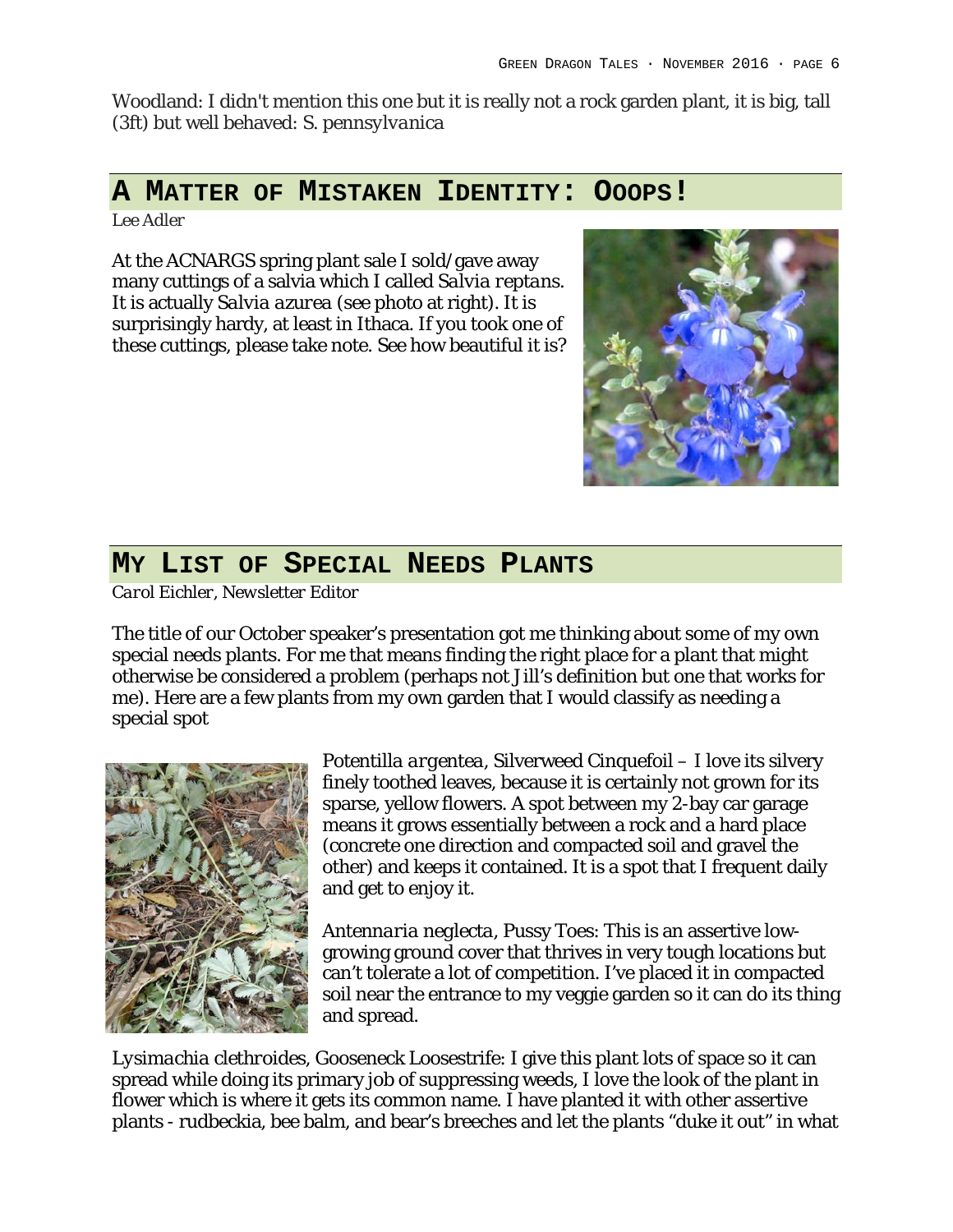Woodland: I didn't mention this one but it is really not a rock garden plant, it is big, tall (3ft) but well behaved: *S. pennsylvanica*

#### **A MATTER OF MISTAKEN IDENTITY: OOOPS!**

*Lee Adler*

At the ACNARGS spring plant sale I sold/gave away many cuttings of a salvia which I called *Salvia reptans*. It is actually *Salvia azurea* (see photo at right). It is surprisingly hardy, at least in Ithaca. If you took one of these cuttings, please take note. See how beautiful it is?



#### **MY LIST OF SPECIAL NEEDS PLANTS**

*Carol Eichler, Newsletter Editor*

The title of our October speaker's presentation got me thinking about some of my own special needs plants. For me that means finding the right place for a plant that might otherwise be considered a problem (perhaps not Jill's definition but one that works for me). Here are a few plants from my own garden that I would classify as needing a special spot



*Potentilla argentea*, Silverweed Cinquefoil – I love its silvery finely toothed leaves, because it is certainly not grown for its sparse, yellow flowers. A spot between my 2-bay car garage means it grows essentially between a rock and a hard place (concrete one direction and compacted soil and gravel the other) and keeps it contained. It is a spot that I frequent daily and get to enjoy it.

*Antennaria neglecta*, Pussy Toes: This is an assertive lowgrowing ground cover that thrives in very tough locations but can't tolerate a lot of competition. I've placed it in compacted soil near the entrance to my veggie garden so it can do its thing and spread.

*Lysimachia clethroides,* Gooseneck Loosestrife: I give this plant lots of space so it can spread while doing its primary job of suppressing weeds, I love the look of the plant in flower which is where it gets its common name. I have planted it with other assertive plants - rudbeckia, bee balm, and bear's breeches and let the plants "duke it out" in what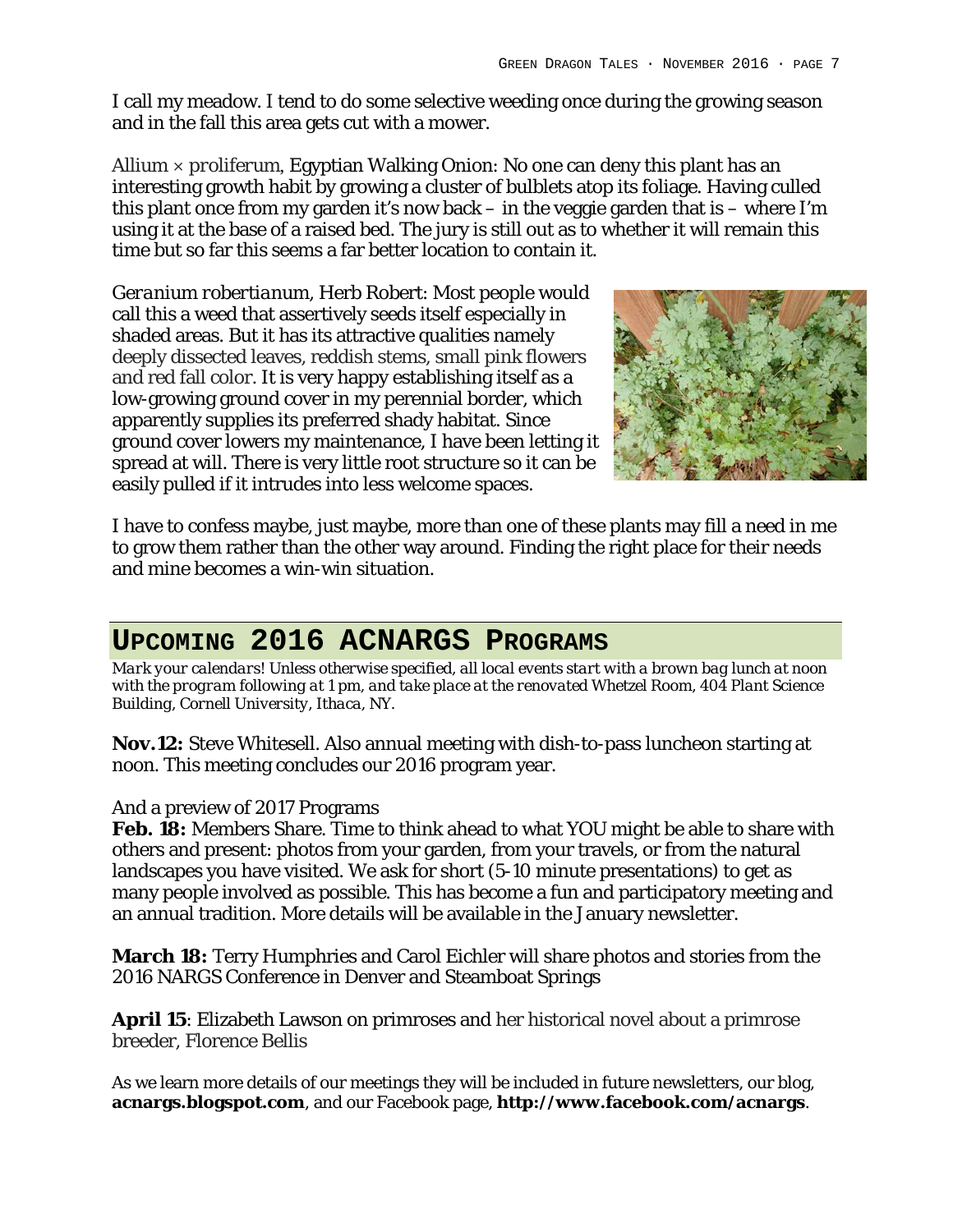I call my meadow. I tend to do some selective weeding once during the growing season and in the fall this area gets cut with a mower.

*Allium × proliferum*, Egyptian Walking Onion: No one can deny this plant has an interesting growth habit by growing a cluster of bulblets atop its foliage. Having culled this plant once from my garden it's now back – in the veggie garden that is – where I'm using it at the base of a raised bed. The jury is still out as to whether it will remain this time but so far this seems a far better location to contain it.

*Geranium robertianum*, Herb Robert: Most people would call this a weed that assertively seeds itself especially in shaded areas. But it has its attractive qualities namely deeply dissected leaves, reddish stems, small pink flowers and red fall color. It is very happy establishing itself as a low-growing ground cover in my perennial border, which apparently supplies its preferred shady habitat. Since ground cover lowers my maintenance, I have been letting it spread at will. There is very little root structure so it can be easily pulled if it intrudes into less welcome spaces.



I have to confess maybe, just maybe, more than one of these plants may fill a need in me to grow them rather than the other way around. Finding the right place for their needs and mine becomes a win-win situation.

## **UPCOMING 2016 ACNARGS PROGRAMS**

*Mark your calendars! Unless otherwise specified, all local events start with a brown bag lunch at noon with the program following at 1 pm, and take place at the renovated Whetzel Room, 404 Plant Science Building, Cornell University, Ithaca, NY.*

**Nov.12:** Steve Whitesell. Also annual meeting with dish-to-pass luncheon starting at noon. This meeting concludes our 2016 program year.

#### And a preview of 2017 Programs

**Feb. 18:** Members Share. Time to think ahead to what YOU might be able to share with others and present: photos from your garden, from your travels, or from the natural landscapes you have visited. We ask for short (5-10 minute presentations) to get as many people involved as possible. This has become a fun and participatory meeting and an annual tradition. More details will be available in the January newsletter.

**March 18:** Terry Humphries and Carol Eichler will share photos and stories from the 2016 NARGS Conference in Denver and Steamboat Springs

**April 15**: Elizabeth Lawson on primroses and her historical novel about a primrose breeder, Florence Bellis

As we learn more details of our meetings they will be included in future newsletters, our blog, **acnargs.blogspot.com**, and our Facebook page, **http://www.facebook.com/acnargs**.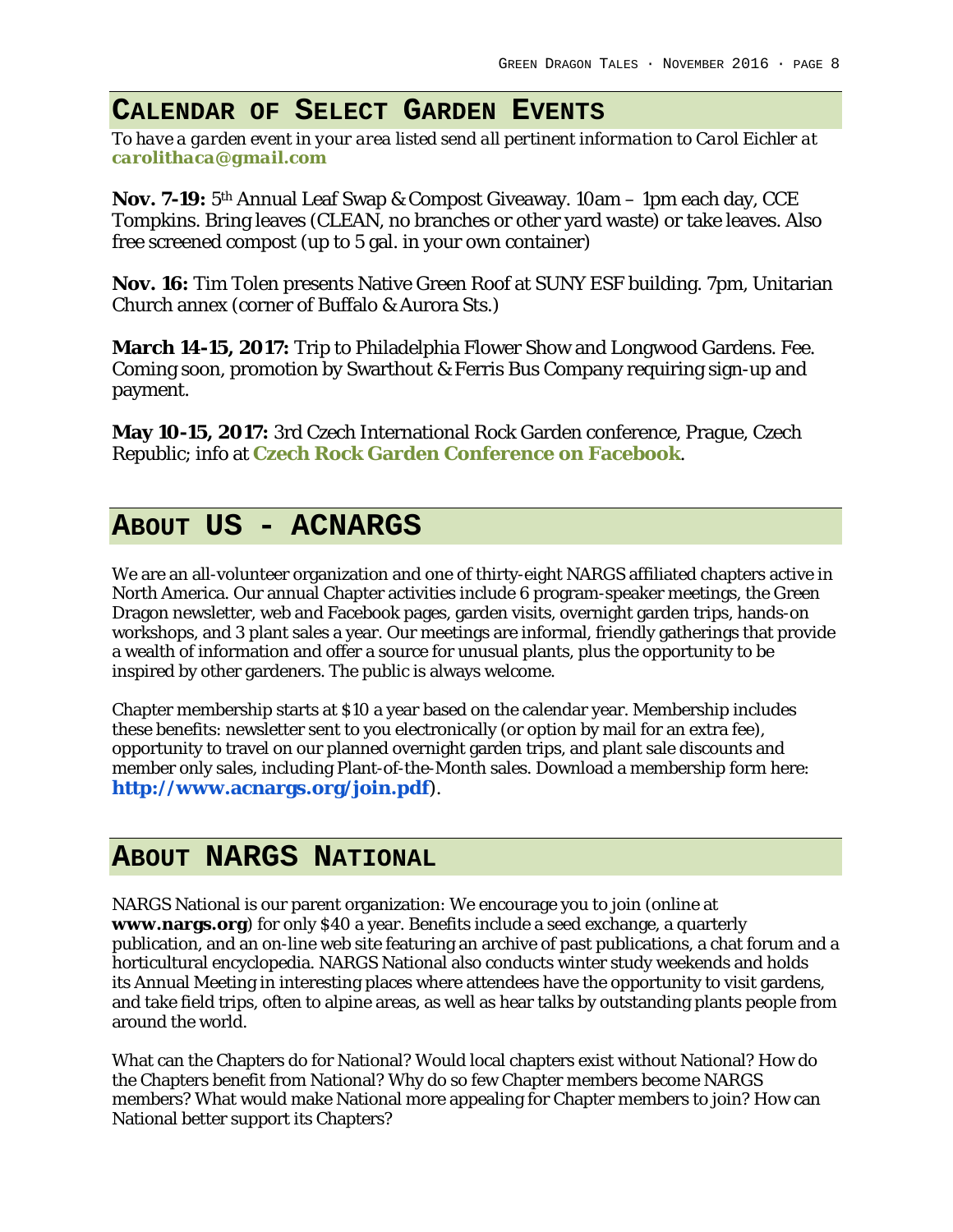### **CALENDAR OF SELECT GARDEN EVENTS**

*To have a garden event in your area listed send all pertinent information to Carol Eichler at carolithaca@gmail.com*

**Nov. 7-19:** 5th Annual Leaf Swap & Compost Giveaway. 10am – 1pm each day, CCE Tompkins. Bring leaves (CLEAN, no branches or other yard waste) or take leaves. Also free screened compost (up to 5 gal. in your own container)

**Nov. 16:** Tim Tolen presents Native Green Roof at SUNY ESF building. 7pm, Unitarian Church annex (corner of Buffalo & Aurora Sts.)

**March 14-15, 2017:** Trip to Philadelphia Flower Show and Longwood Gardens. Fee. Coming soon, promotion by Swarthout & Ferris Bus Company requiring sign-up and payment.

**May 10-15, 2017:** 3rd Czech International Rock Garden conference, Prague, Czech Republic; info at **Czech Rock Garden Conference on Facebook**.

### **ABOUT US - ACNARGS**

We are an all-volunteer organization and one of thirty-eight NARGS affiliated chapters active in North America. Our annual Chapter activities include 6 program-speaker meetings, the Green Dragon newsletter, web and Facebook pages, garden visits, overnight garden trips, hands-on workshops, and 3 plant sales a year. Our meetings are informal, friendly gatherings that provide a wealth of information and offer a source for unusual plants, plus the opportunity to be inspired by other gardeners. The public is always welcome.

Chapter membership starts at \$10 a year based on the calendar year. Membership includes these benefits: newsletter sent to you electronically (or option by mail for an extra fee), opportunity to travel on our planned overnight garden trips, and plant sale discounts and member only sales, including Plant-of-the-Month sales. Download a membership form here: **http://www.acnargs.org/join.pdf**).

#### **ABOUT NARGS NATIONAL**

NARGS National is our parent organization: We encourage you to join (online at **www.nargs.org**) for only \$40 a year. Benefits include a seed exchange, a quarterly publication, and an on-line web site featuring an archive of past publications, a chat forum and a horticultural encyclopedia. NARGS National also conducts winter study weekends and holds its Annual Meeting in interesting places where attendees have the opportunity to visit gardens, and take field trips, often to alpine areas, as well as hear talks by outstanding plants people from around the world.

What can the Chapters do for National? Would local chapters exist without National? How do the Chapters benefit from National? Why do so few Chapter members become NARGS members? What would make National more appealing for Chapter members to join? How can National better support its Chapters?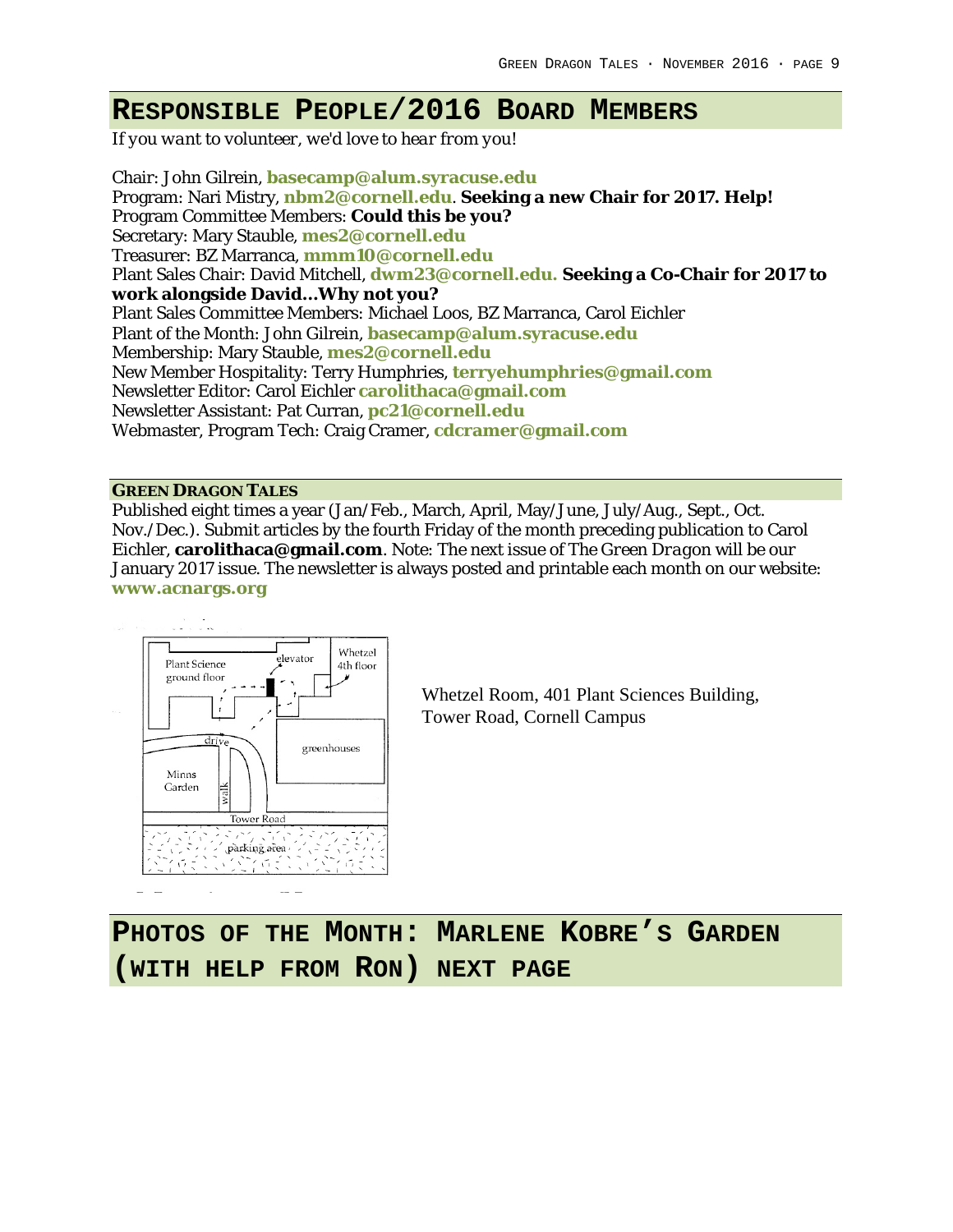#### **RESPONSIBLE PEOPLE/2016 BOARD MEMBERS**

*If you want to volunteer, we'd love to hear from you!*

Chair: John Gilrein, **basecamp@alum.syracuse.edu** Program: Nari Mistry, **nbm2@cornell.edu**. **Seeking a new Chair for 2017. Help!** Program Committee Members: **Could this be you?** Secretary: Mary Stauble, **mes2@cornell.edu** Treasurer: BZ Marranca, **mmm10@cornell.edu** Plant Sales Chair: David Mitchell, **dwm23@cornell.edu. Seeking a Co-Chair for 2017 to work alongside David…Why not you?** Plant Sales Committee Members: Michael Loos, BZ Marranca, Carol Eichler Plant of the Month: John Gilrein, **basecamp@alum.syracuse.edu** Membership: Mary Stauble, **mes2@cornell.edu** New Member Hospitality: Terry Humphries, **terryehumphries@gmail.com** Newsletter Editor: Carol Eichler **carolithaca@gmail.com** Newsletter Assistant: Pat Curran, **pc21@cornell.edu** Webmaster, Program Tech: Craig Cramer, **cdcramer@gmail.com**

#### **GREEN DRAGON TALES**

Published eight times a year (Jan/Feb., March, April, May/June, July/Aug., Sept., Oct. Nov./Dec.). Submit articles by the fourth Friday of the month preceding publication to Carol Eichler, **carolithaca@gmail.com**. Note: The next issue of *The Green Dragon* will be our January 2017 issue. The newsletter is always posted and printable each month on our website: **www.acnargs.org**



Whetzel Room, 401 Plant Sciences Building, Tower Road, Cornell Campus

**PHOTOS OF THE MONTH: MARLENE KOBRE'S GARDEN (WITH HELP FROM RON) NEXT PAGE**